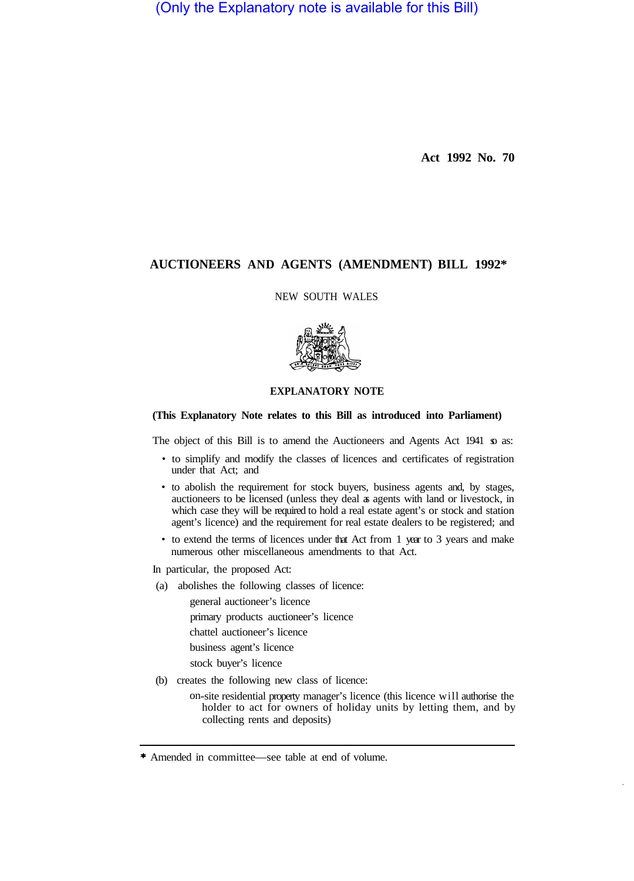(Only the Explanatory note is available for this Bill)

**Act 1992 No. 70** 

# **AUCTIONEERS AND AGENTS (AMENDMENT) BILL 1992\***

NEW SOUTH WALES



# **EXPLANATORY NOTE**

# **(This Explanatory Note relates to this Bill as introduced into Parliament)**

The object of this Bill is to amend the Auctioneers and Agents Act 1941 so as:

- to simplify and modify the classes of licences and certificates of registration under that Act; and
- to abolish the requirement for stock buyers, business agents and, by stages, auctioneers to be licensed (unless they deal as agents with land or livestock, in which case they will be required to hold a real estate agent's or stock and station agent's licence) and the requirement for real estate dealers to be registered; and
- to extend the terms of licences under that Act from 1 year to 3 years and make numerous other miscellaneous amendments to that Act.

In particular, the proposed Act:

(a) abolishes the following classes of licence:

general auctioneer's licence

primary products auctioneer's licence

chattel auctioneer's licence

business agent's licence

stock buyer's licence

- (b) creates the following new class of licence:
	- on-site residential property manager's licence (this licence will authorise the holder to act for owners of holiday units by letting them, and by collecting rents and deposits)

<sup>\*</sup> Amended in committee—see table at end of volume.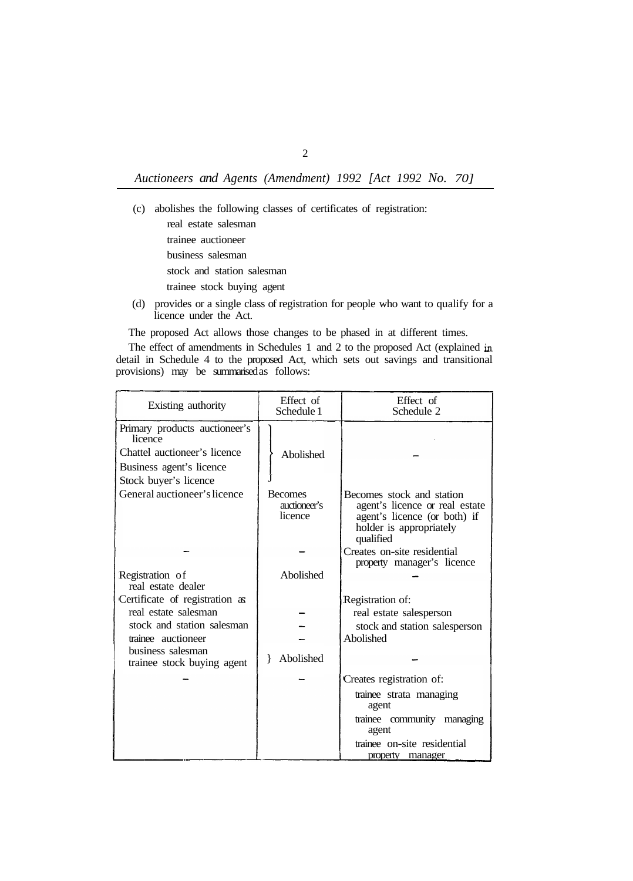- (c) abolishes the following classes of certificates of registration: real estate salesman trainee auctioneer business salesman stock and station salesman trainee stock buying agent
- (d) provides or a single class of registration for people who want to qualify for a licence under the Act.

The proposed Act allows those changes to be phased in at different times.

The effect of amendments in Schedules 1 and 2 to the proposed Act (explained in detail in Schedule 4 to the proposed Act, which sets out savings and transitional provisions) may be summarised as follows:

| Existing authority                              | Effect of<br>Schedule 1                   | Effect of<br>Schedule 2                                                                                                             |
|-------------------------------------------------|-------------------------------------------|-------------------------------------------------------------------------------------------------------------------------------------|
| Primary products auctioneer's<br>licence        |                                           |                                                                                                                                     |
| Chattel auctioneer's licence                    | Abolished                                 |                                                                                                                                     |
| Business agent's licence                        |                                           |                                                                                                                                     |
| Stock buyer's licence                           |                                           |                                                                                                                                     |
| General auctioneer's licence                    | <b>Becomes</b><br>auctioneer's<br>licence | Becomes stock and station<br>agent's licence or real estate<br>agent's licence (or both) if<br>holder is appropriately<br>qualified |
|                                                 |                                           | Creates on-site residential<br>property manager's licence                                                                           |
| Registration of<br>real estate dealer           | Abolished                                 |                                                                                                                                     |
| Certificate of registration as                  |                                           | Registration of:                                                                                                                    |
| real estate salesman                            |                                           | real estate salesperson                                                                                                             |
| stock and station salesman                      |                                           | stock and station salesperson                                                                                                       |
| trainee auctioneer                              |                                           | Abolished                                                                                                                           |
| business salesman<br>trainee stock buying agent | Abolished<br>$\mathbf{r}$                 |                                                                                                                                     |
|                                                 |                                           | Creates registration of:                                                                                                            |
|                                                 |                                           | trainee strata managing<br>agent                                                                                                    |
|                                                 |                                           | trainee community managing<br>agent                                                                                                 |
|                                                 |                                           | trainee on-site residential                                                                                                         |
|                                                 |                                           | property manager                                                                                                                    |

2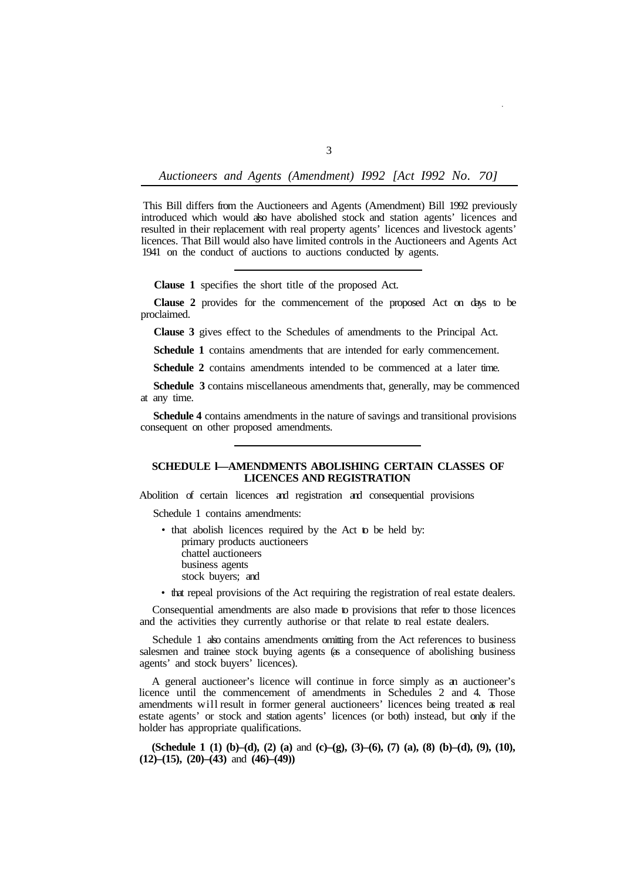This Bill differs from the Auctioneers and Agents (Amendment) Bill 1992 previously introduced which would also have abolished stock and station agents' licences and resulted in their replacement with real property agents' licences and livestock agents' licences. That Bill would also have limited controls in the Auctioneers and Agents Act 1941 on the conduct of auctions to auctions conducted by agents.

**Clause 1** specifies the short title of the proposed Act.

**Clause 2** provides for the commencement of the proposed Act on days to be proclaimed.

**Clause 3** gives effect to the Schedules of amendments to the Principal Act.

**Schedule 1** contains amendments that are intended for early commencement.

**Schedule 2** contains amendments intended to be commenced at a later time.

**Schedule 3** contains miscellaneous amendments that, generally, may be commenced at any time.

**Schedule 4** contains amendments in the nature of savings and transitional provisions consequent on other proposed amendments.

# **SCHEDULE l—AMENDMENTS ABOLISHING CERTAIN CLASSES OF LICENCES AND REGISTRATION**

Abolition of certain licences and registration and consequential provisions

Schedule 1 contains amendments:

- that abolish licences required by the Act to be held by: primary products auctioneers chattel auctioneers business agents stock buyers; and
- that repeal provisions of the Act requiring the registration of real estate dealers.

Consequential amendments are also made to provisions that refer to those licences and the activities they currently authorise or that relate to real estate dealers.

Schedule 1 also contains amendments omitting from the Act references to business salesmen and trainee stock buying agents (as a consequence of abolishing business agents' and stock buyers' licences).

A general auctioneer's licence will continue in force simply as an auctioneer's licence until the commencement of amendments in Schedules 2 and 4. Those amendments will result in former general auctioneers' licences being treated as real estate agents' or stock and station agents' licences (or both) instead, but only if the holder has appropriate qualifications.

**(Schedule 1 (1) (b)–(d), (2) (a)** and **(c)–(g), (3)–(6), (7) (a), (8) (b)–(d), (9), (10), (12)–(15), (20)–(43)** and **(46)–(49))**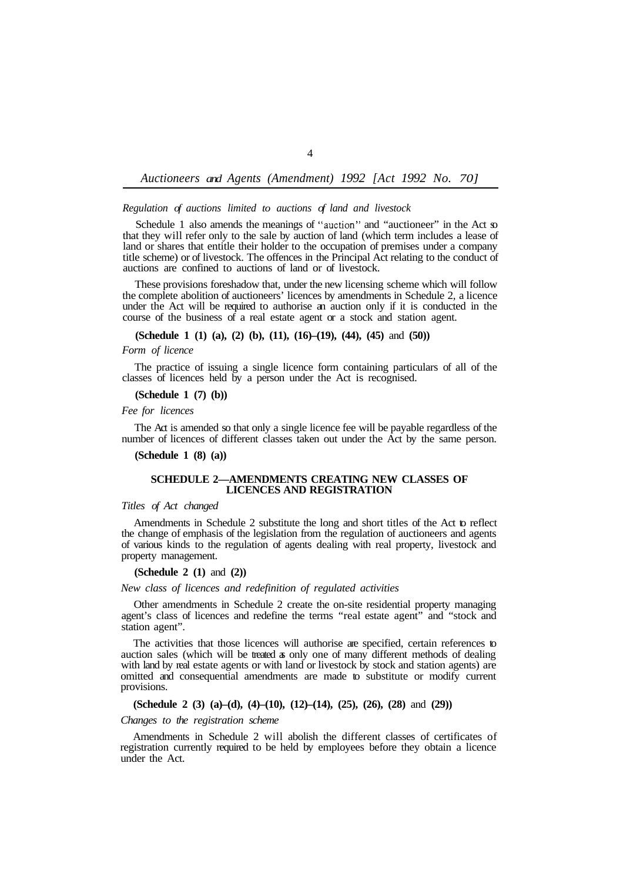## *Regulation of auctions limited to auctions of land and livestock*

Schedule 1 also amends the meanings of "auction" and "auctioneer" in the Act so that they will refer only to the sale by auction of land (which term includes a lease of land or shares that entitle their holder to the occupation of premises under a company title scheme) or of livestock. The offences in the Principal Act relating to the conduct of auctions are confined to auctions of land or of livestock.

These provisions foreshadow that, under the new licensing scheme which will follow the complete abolition of auctioneers' licences by amendments in Schedule 2, a licence under the Act will be required to authorise an auction only if it is conducted in the course of the business of a real estate agent or a stock and station agent.

### **(Schedule 1 (1) (a), (2) (b), (11), (16)–(19), (44), (45)** and **(50))**

### *Form of licence*

classes of licences held by a person under the Act is recognised. The practice of issuing a single licence form containing particulars of all of the

**(Schedule 1 (7) (b))** 

*Fee for licences* 

The Act is amended so that only a single licence fee will be payable regardless of the number of licences of different classes taken out under the Act by the same person.

**(Schedule 1 (8) (a))** 

### **SCHEDULE 2—AMENDMENTS CREATING NEW CLASSES OF LICENCES AND REGISTRATION**

### *Titles of Act changed*

Amendments in Schedule 2 substitute the long and short titles of the Act to reflect the change of emphasis of the legislation from the regulation of auctioneers and agents of various kinds to the regulation of agents dealing with real property, livestock and property management.

### **(Schedule 2 (1)** and **(2))**

### *New class of licences and redefinition of regulated activities*

Other amendments in Schedule 2 create the on-site residential property managing agent's class of licences and redefine the terms "real estate agent" and "stock and station agent".

The activities that those licences will authorise are specified, certain references to auction sales (which will be treated as only one of many different methods of dealing with land by real estate agents or with land or livestock by stock and station agents) are omitted and consequential amendments are made to substitute or modify current provisions.

# **(Schedule 2 (3) (a)–(d), (4)–(10), (12)–(14), (25), (26), (28)** and **(29))**

### *Changes to the registration scheme*

Amendments in Schedule 2 will abolish the different classes of certificates of registration currently required to be held by employees before they obtain a licence under the Act.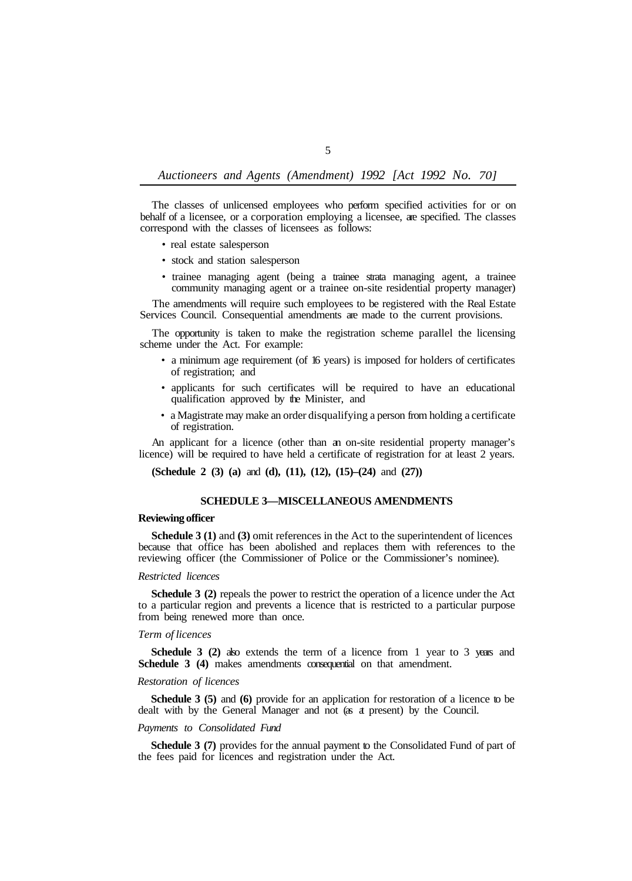The classes of unlicensed employees who perform specified activities for or on behalf of a licensee, or a corporation employing a licensee, are specified. The classes correspond with the classes of licensees as follows:

- real estate salesperson
- stock and station salesperson
- trainee managing agent (being a trainee strata managing agent, a trainee community managing agent or a trainee on-site residential property manager)

The amendments will require such employees to be registered with the Real Estate Services Council. Consequential amendments are made to the current provisions.

The opportunity is taken to make the registration scheme parallel the licensing scheme under the Act. For example:

- a minimum age requirement (of 16 years) is imposed for holders of certificates of registration; and
- applicants for such certificates will be required to have an educational qualification approved by the Minister, and
- a Magistrate may make an order disqualifying a person from holding a certificate of registration.

An applicant for a licence (other than an on-site residential property manager's licence) will be required to have held a certificate of registration for at least 2 years.

**(Schedule 2 (3) (a)** and **(d), (11), (12), (15)–(24)** and **(27))** 

### **SCHEDULE 3—MISCELLANEOUS AMENDMENTS**

# **Reviewing officer**

**Schedule 3 (1)** and **(3)** omit references in the Act to the superintendent of licences because that office has been abolished and replaces them with references to the reviewing officer (the Commissioner of Police or the Commissioner's nominee).

# *Restricted licences*

**Schedule 3 (2)** repeals the power to restrict the operation of a licence under the Act to a particular region and prevents a licence that is restricted to a particular purpose from being renewed more than once.

### *Term of licences*

**Schedule 3 (2)** also extends the term of a licence from 1 year to 3 years and **Schedule 3 (4)** makes amendments consequential on that amendment.

# *Restoration of licences*

**Schedule 3 (5)** and **(6)** provide for an application for restoration of a licence to be dealt with by the General Manager and not (as at present) by the Council.

# *Payments to Consolidated Fund*

**Schedule 3 (7)** provides for the annual payment to the Consolidated Fund of part of the fees paid for licences and registration under the Act.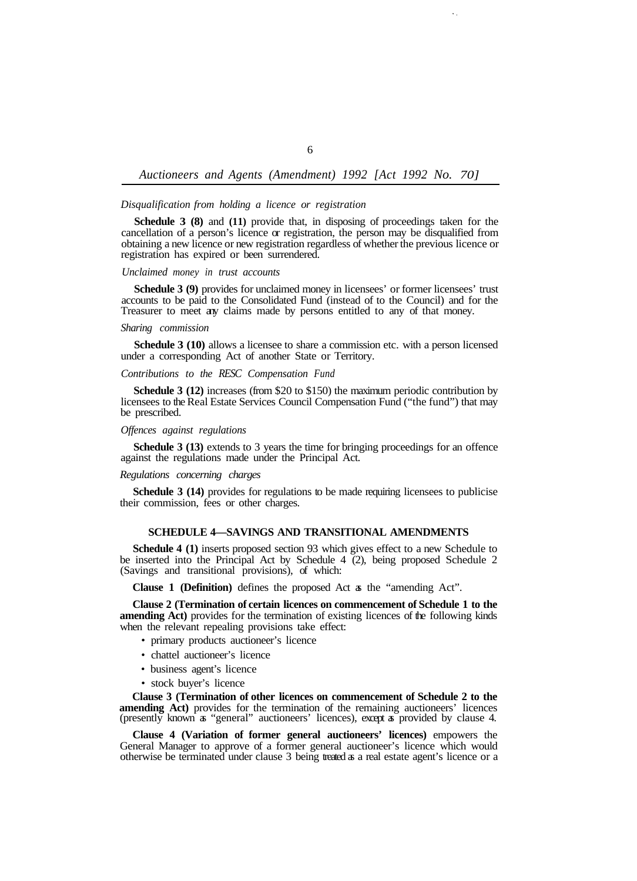### *Disqualification from holding a licence or registration*

**Schedule 3 (8)** and **(11)** provide that, in disposing of proceedings taken for the cancellation of a person's licence or registration, the person may be disqualified from obtaining a new licence or new registration regardless of whether the previous licence or registration has expired or been surrendered.

#### *Unclaimed money in trust accounts*

**Schedule 3 (9)** provides for unclaimed money in licensees' or former licensees' trust accounts to be paid to the Consolidated Fund (instead of to the Council) and for the Treasurer to meet any claims made by persons entitled to any of that money.

#### *Sharing commission*

**Schedule 3 (10)** allows a licensee to share a commission etc. with a person licensed under a corresponding Act of another State or Territory.

# *Contributions to the RESC Compensation Fund*

**Schedule 3 (12)** increases (from \$20 to \$150) the maximum periodic contribution by licensees to the Real Estate Services Council Compensation Fund ("the fund") that may be prescribed.

### *Offences against regulations*

against the regulations made under the Principal Act. **Schedule 3 (13)** extends to 3 years the time for bringing proceedings for an offence

#### *Regulations concerning charges*

their commission, fees or other charges. **Schedule 3 (14)** provides for regulations to be made requiring licensees to publicise

# **SCHEDULE 4—SAVINGS AND TRANSITIONAL AMENDMENTS**

**Schedule 4 (1)** inserts proposed section 93 which gives effect to a new Schedule to be inserted into the Principal Act by Schedule  $4\degree(2)$ , being proposed Schedule 2 (Savings and transitional provisions), of which:

**Clause 1 (Definition)** defines the proposed Act as the "amending Act".

**Clause 2 (Termination of certain licences on commencement of Schedule 1 to the amending Act)** provides for the termination of existing licences of the following kinds when the relevant repealing provisions take effect:

- primary products auctioneer's licence
- chattel auctioneer's licence
- business agent's licence
- stock buyer's licence

**Clause 3 (Termination of other licences on commencement of Schedule 2 to the amending Act)** provides for the termination of the remaining auctioneers' licences (presently known as "general" auctioneers' licences), except as provided by clause 4.

**Clause 4 (Variation of former general auctioneers' licences)** empowers the General Manager to approve of a former general auctioneer's licence which would otherwise be terminated under clause 3 being treated as a real estate agent's licence or a